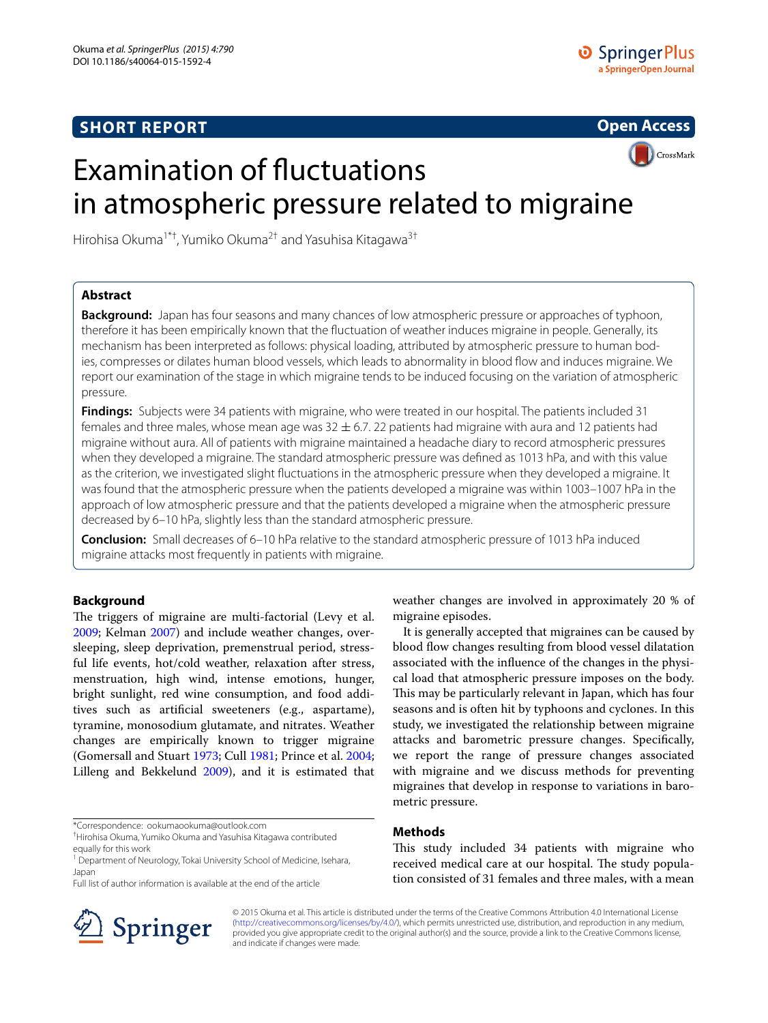# **SHORT REPORT**



# Examination of fluctuations in atmospheric pressure related to migraine

Hirohisa Okuma<sup>1\*†</sup>, Yumiko Okuma<sup>2†</sup> and Yasuhisa Kitagawa<sup>3†</sup>

## **Abstract**

**Background:** Japan has four seasons and many chances of low atmospheric pressure or approaches of typhoon, therefore it has been empirically known that the fluctuation of weather induces migraine in people. Generally, its mechanism has been interpreted as follows: physical loading, attributed by atmospheric pressure to human bodies, compresses or dilates human blood vessels, which leads to abnormality in blood flow and induces migraine. We report our examination of the stage in which migraine tends to be induced focusing on the variation of atmospheric pressure.

**Findings:** Subjects were 34 patients with migraine, who were treated in our hospital. The patients included 31 females and three males, whose mean age was  $32 \pm 6.7$ . 22 patients had migraine with aura and 12 patients had migraine without aura. All of patients with migraine maintained a headache diary to record atmospheric pressures when they developed a migraine. The standard atmospheric pressure was defined as 1013 hPa, and with this value as the criterion, we investigated slight fluctuations in the atmospheric pressure when they developed a migraine. It was found that the atmospheric pressure when the patients developed a migraine was within 1003–1007 hPa in the approach of low atmospheric pressure and that the patients developed a migraine when the atmospheric pressure decreased by 6–10 hPa, slightly less than the standard atmospheric pressure.

**Conclusion:** Small decreases of 6–10 hPa relative to the standard atmospheric pressure of 1013 hPa induced migraine attacks most frequently in patients with migraine.

## **Background**

The triggers of migraine are multi-factorial (Levy et al. [2009](#page-3-0); Kelman [2007](#page-3-1)) and include weather changes, oversleeping, sleep deprivation, premenstrual period, stressful life events, hot/cold weather, relaxation after stress, menstruation, high wind, intense emotions, hunger, bright sunlight, red wine consumption, and food additives such as artificial sweeteners (e.g., aspartame), tyramine, monosodium glutamate, and nitrates. Weather changes are empirically known to trigger migraine (Gomersall and Stuart [1973;](#page-2-0) Cull [1981](#page-2-1); Prince et al. [2004](#page-3-2); Lilleng and Bekkelund [2009](#page-3-3)), and it is estimated that

\*Correspondence: ookumaookuma@outlook.com

Full list of author information is available at the end of the article



weather changes are involved in approximately 20 % of migraine episodes.

It is generally accepted that migraines can be caused by blood flow changes resulting from blood vessel dilatation associated with the influence of the changes in the physical load that atmospheric pressure imposes on the body. This may be particularly relevant in Japan, which has four seasons and is often hit by typhoons and cyclones. In this study, we investigated the relationship between migraine attacks and barometric pressure changes. Specifically, we report the range of pressure changes associated with migraine and we discuss methods for preventing migraines that develop in response to variations in barometric pressure.

## **Methods**

This study included 34 patients with migraine who received medical care at our hospital. The study population consisted of 31 females and three males, with a mean

© 2015 Okuma et al. This article is distributed under the terms of the Creative Commons Attribution 4.0 International License [\(http://creativecommons.org/licenses/by/4.0/\)](http://creativecommons.org/licenses/by/4.0/), which permits unrestricted use, distribution, and reproduction in any medium, provided you give appropriate credit to the original author(s) and the source, provide a link to the Creative Commons license, and indicate if changes were made.

<sup>†</sup> Hirohisa Okuma, Yumiko Okuma and Yasuhisa Kitagawa contributed equally for this work

<sup>&</sup>lt;sup>1</sup> Department of Neurology, Tokai University School of Medicine, Isehara, Japan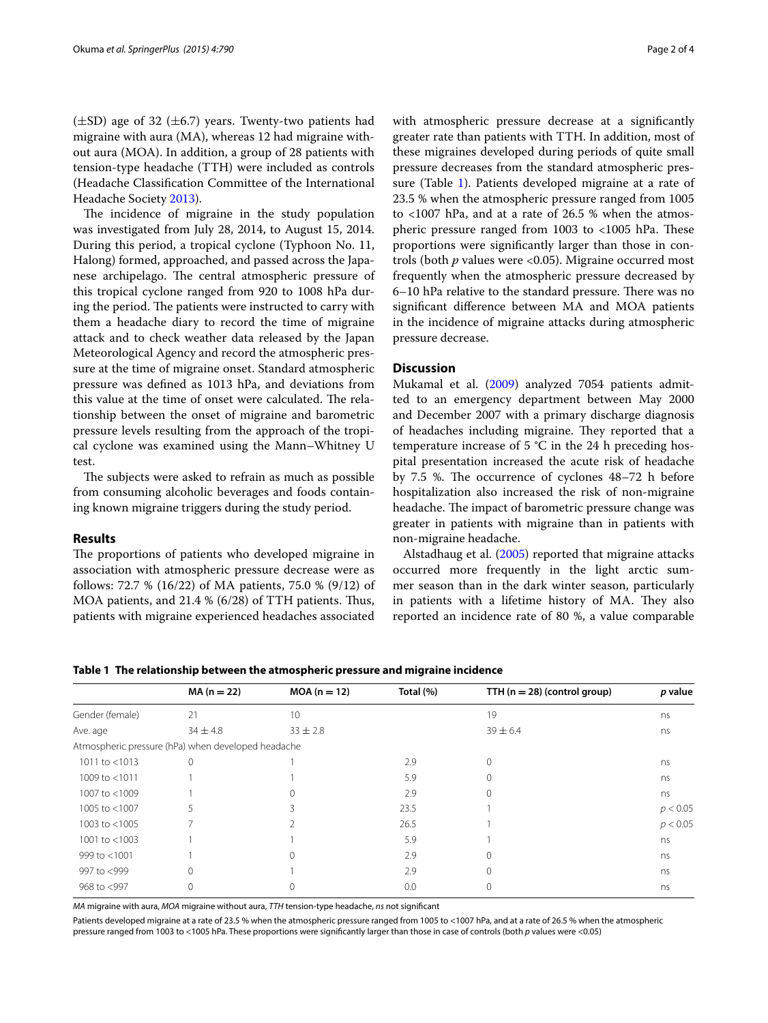$(\pm SD)$  age of 32  $(\pm 6.7)$  years. Twenty-two patients had migraine with aura (MA), whereas 12 had migraine without aura (MOA). In addition, a group of 28 patients with tension-type headache (TTH) were included as controls (Headache Classification Committee of the International Headache Society [2013](#page-3-4)).

The incidence of migraine in the study population was investigated from July 28, 2014, to August 15, 2014. During this period, a tropical cyclone (Typhoon No. 11, Halong) formed, approached, and passed across the Japanese archipelago. The central atmospheric pressure of this tropical cyclone ranged from 920 to 1008 hPa during the period. The patients were instructed to carry with them a headache diary to record the time of migraine attack and to check weather data released by the Japan Meteorological Agency and record the atmospheric pressure at the time of migraine onset. Standard atmospheric pressure was defined as 1013 hPa, and deviations from this value at the time of onset were calculated. The relationship between the onset of migraine and barometric pressure levels resulting from the approach of the tropical cyclone was examined using the Mann–Whitney U test.

The subjects were asked to refrain as much as possible from consuming alcoholic beverages and foods containing known migraine triggers during the study period.

## **Results**

The proportions of patients who developed migraine in association with atmospheric pressure decrease were as follows: 72.7 % (16/22) of MA patients, 75.0 % (9/12) of MOA patients, and 21.4 % (6/28) of TTH patients. Thus, patients with migraine experienced headaches associated with atmospheric pressure decrease at a significantly greater rate than patients with TTH. In addition, most of these migraines developed during periods of quite small pressure decreases from the standard atmospheric pressure (Table [1\)](#page-1-0). Patients developed migraine at a rate of 23.5 % when the atmospheric pressure ranged from 1005 to  $<1007$  hPa, and at a rate of 26.5 % when the atmospheric pressure ranged from 1003 to <1005 hPa. These proportions were significantly larger than those in controls (both *p* values were <0.05). Migraine occurred most frequently when the atmospheric pressure decreased by 6–10 hPa relative to the standard pressure. There was no significant difference between MA and MOA patients in the incidence of migraine attacks during atmospheric pressure decrease.

## **Discussion**

Mukamal et al. ([2009](#page-3-5)) analyzed 7054 patients admitted to an emergency department between May 2000 and December 2007 with a primary discharge diagnosis of headaches including migraine. They reported that a temperature increase of 5 °C in the 24 h preceding hospital presentation increased the acute risk of headache by 7.5 %. The occurrence of cyclones 48–72 h before hospitalization also increased the risk of non-migraine headache. The impact of barometric pressure change was greater in patients with migraine than in patients with non-migraine headache.

Alstadhaug et al. ([2005](#page-2-2)) reported that migraine attacks occurred more frequently in the light arctic summer season than in the dark winter season, particularly in patients with a lifetime history of MA. They also reported an incidence rate of 80 %, a value comparable

## <span id="page-1-0"></span>**Table 1 The relationship between the atmospheric pressure and migraine incidence**

|                  | $MA (n = 22)$                                      | $MOA (n = 12)$ | Total (%) | TTH $(n = 28)$ (control group) | p value  |
|------------------|----------------------------------------------------|----------------|-----------|--------------------------------|----------|
| Gender (female)  | 21                                                 | 10             |           | 19                             | ns       |
| Ave. age         | $34 \pm 4.8$                                       | $33 \pm 2.8$   |           | $39 \pm 6.4$                   | ns       |
|                  | Atmospheric pressure (hPa) when developed headache |                |           |                                |          |
| 1011 to $<$ 1013 | $\Omega$                                           |                | 2.9       | 0                              | ns       |
| 1009 to <1011    |                                                    |                | 5.9       | 0                              | ns       |
| 1007 to <1009    |                                                    | 0              | 2.9       | 0                              | ns       |
| 1005 to <1007    |                                                    |                | 23.5      |                                | p < 0.05 |
| 1003 to $<$ 1005 |                                                    |                | 26.5      |                                | p < 0.05 |
| 1001 to $<$ 1003 |                                                    |                | 5.9       |                                | ns       |
| 999 to <1001     |                                                    | $^{(1)}$       | 2.9       | 0                              | ns       |
| 997 to <999      | 0                                                  |                | 2.9       |                                | ns       |
| 968 to <997      |                                                    |                | 0.0       |                                | ns       |

*MA* migraine with aura, *MOA* migraine without aura, *TTH* tension-type headache, *ns* not significant

Patients developed migraine at a rate of 23.5 % when the atmospheric pressure ranged from 1005 to <1007 hPa, and at a rate of 26.5 % when the atmospheric pressure ranged from 1003 to <1005 hPa. These proportions were significantly larger than those in case of controls (both *p* values were <0.05)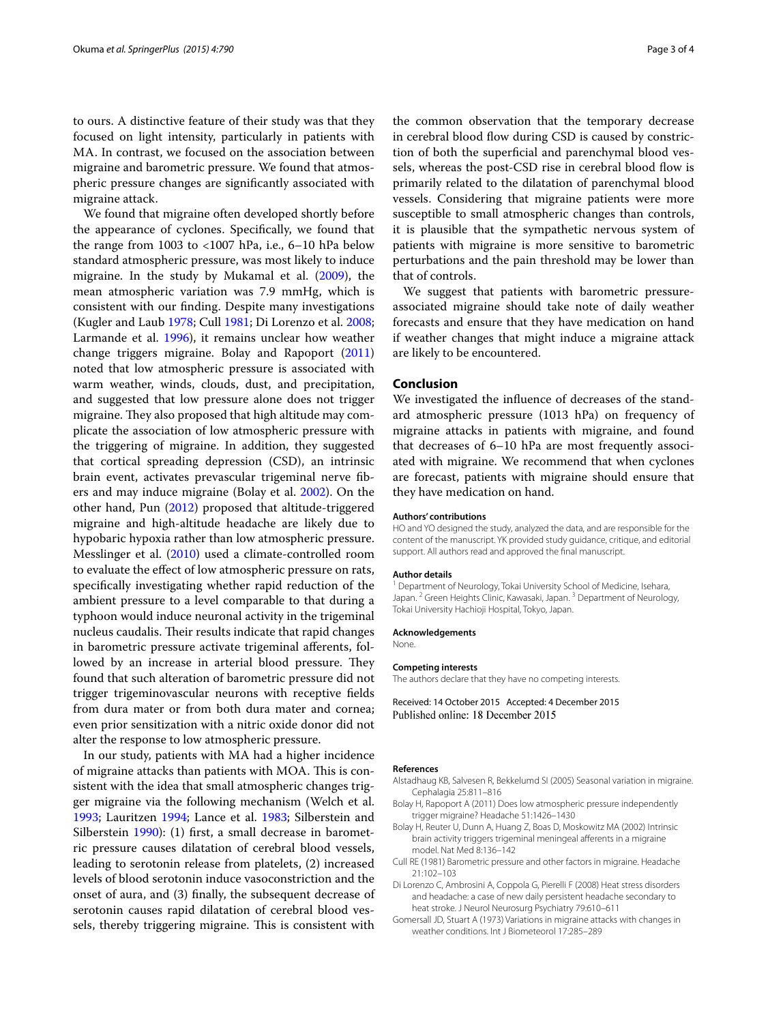to ours. A distinctive feature of their study was that they focused on light intensity, particularly in patients with MA. In contrast, we focused on the association between migraine and barometric pressure. We found that atmospheric pressure changes are significantly associated with migraine attack.

We found that migraine often developed shortly before the appearance of cyclones. Specifically, we found that the range from 1003 to <1007 hPa, i.e., 6–10 hPa below standard atmospheric pressure, was most likely to induce migraine. In the study by Mukamal et al. [\(2009](#page-3-5)), the mean atmospheric variation was 7.9 mmHg, which is consistent with our finding. Despite many investigations (Kugler and Laub [1978;](#page-3-6) Cull [1981;](#page-2-1) Di Lorenzo et al. [2008](#page-2-3); Larmande et al. [1996\)](#page-3-7), it remains unclear how weather change triggers migraine. Bolay and Rapoport ([2011](#page-2-4)) noted that low atmospheric pressure is associated with warm weather, winds, clouds, dust, and precipitation, and suggested that low pressure alone does not trigger migraine. They also proposed that high altitude may complicate the association of low atmospheric pressure with the triggering of migraine. In addition, they suggested that cortical spreading depression (CSD), an intrinsic brain event, activates prevascular trigeminal nerve fibers and may induce migraine (Bolay et al. [2002\)](#page-2-5). On the other hand, Pun [\(2012\)](#page-3-8) proposed that altitude-triggered migraine and high-altitude headache are likely due to hypobaric hypoxia rather than low atmospheric pressure. Messlinger et al. [\(2010\)](#page-3-9) used a climate-controlled room to evaluate the effect of low atmospheric pressure on rats, specifically investigating whether rapid reduction of the ambient pressure to a level comparable to that during a typhoon would induce neuronal activity in the trigeminal nucleus caudalis. Their results indicate that rapid changes in barometric pressure activate trigeminal afferents, followed by an increase in arterial blood pressure. They found that such alteration of barometric pressure did not trigger trigeminovascular neurons with receptive fields from dura mater or from both dura mater and cornea; even prior sensitization with a nitric oxide donor did not alter the response to low atmospheric pressure.

In our study, patients with MA had a higher incidence of migraine attacks than patients with MOA. This is consistent with the idea that small atmospheric changes trigger migraine via the following mechanism (Welch et al. [1993](#page-3-10); Lauritzen [1994;](#page-3-11) Lance et al. [1983;](#page-3-12) Silberstein and Silberstein [1990](#page-3-13)): (1) first, a small decrease in barometric pressure causes dilatation of cerebral blood vessels, leading to serotonin release from platelets, (2) increased levels of blood serotonin induce vasoconstriction and the onset of aura, and (3) finally, the subsequent decrease of serotonin causes rapid dilatation of cerebral blood vessels, thereby triggering migraine. This is consistent with

the common observation that the temporary decrease in cerebral blood flow during CSD is caused by constriction of both the superficial and parenchymal blood vessels, whereas the post-CSD rise in cerebral blood flow is primarily related to the dilatation of parenchymal blood vessels. Considering that migraine patients were more susceptible to small atmospheric changes than controls, it is plausible that the sympathetic nervous system of patients with migraine is more sensitive to barometric perturbations and the pain threshold may be lower than that of controls.

We suggest that patients with barometric pressureassociated migraine should take note of daily weather forecasts and ensure that they have medication on hand if weather changes that might induce a migraine attack are likely to be encountered.

## **Conclusion**

We investigated the influence of decreases of the standard atmospheric pressure (1013 hPa) on frequency of migraine attacks in patients with migraine, and found that decreases of 6–10 hPa are most frequently associated with migraine. We recommend that when cyclones are forecast, patients with migraine should ensure that they have medication on hand.

#### **Authors' contributions**

HO and YO designed the study, analyzed the data, and are responsible for the content of the manuscript. YK provided study guidance, critique, and editorial support. All authors read and approved the final manuscript.

#### **Author details**

<sup>1</sup> Department of Neurology, Tokai University School of Medicine, Isehara, Japan.<sup>2</sup> Green Heights Clinic, Kawasaki, Japan.<sup>3</sup> Department of Neurology, Tokai University Hachioji Hospital, Tokyo, Japan.

#### **Acknowledgements**

None.

#### **Competing interests**

The authors declare that they have no competing interests.

Received: 14 October 2015 Accepted: 4 December 2015 Published online: 18 December 2015

#### **References**

- <span id="page-2-2"></span>Alstadhaug KB, Salvesen R, Bekkelumd SI (2005) Seasonal variation in migraine. Cephalagia 25:811–816
- <span id="page-2-4"></span>Bolay H, Rapoport A (2011) Does low atmospheric pressure independently trigger migraine? Headache 51:1426–1430
- <span id="page-2-5"></span>Bolay H, Reuter U, Dunn A, Huang Z, Boas D, Moskowitz MA (2002) Intrinsic brain activity triggers trigeminal meningeal afferents in a migraine model. Nat Med 8:136–142
- <span id="page-2-1"></span>Cull RE (1981) Barometric pressure and other factors in migraine. Headache 21:102–103
- <span id="page-2-3"></span>Di Lorenzo C, Ambrosini A, Coppola G, Pierelli F (2008) Heat stress disorders and headache: a case of new daily persistent headache secondary to heat stroke. J Neurol Neurosurg Psychiatry 79:610–611
- <span id="page-2-0"></span>Gomersall JD, Stuart A (1973) Variations in migraine attacks with changes in weather conditions. Int J Biometeorol 17:285–289